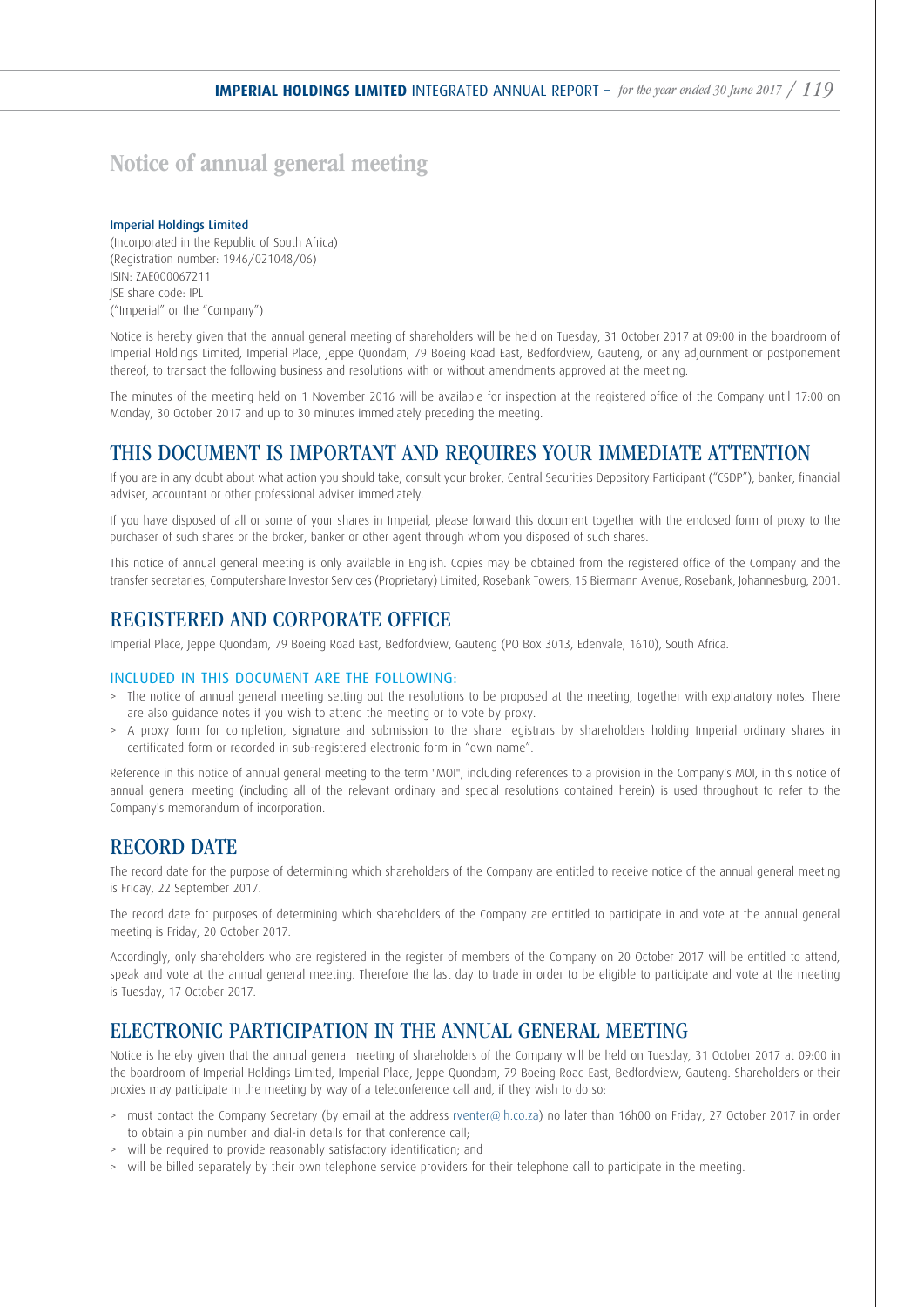# Notice of annual general meeting

#### Imperial Holdings Limited

(Incorporated in the Republic of South Africa) (Registration number: 1946/021048/06) ISIN: ZAE000067211 JSE share code: IPL ("Imperial" or the "Company")

Notice is hereby given that the annual general meeting of shareholders will be held on Tuesday, 31 October 2017 at 09:00 in the boardroom of Imperial Holdings Limited, Imperial Place, Jeppe Quondam, 79 Boeing Road East, Bedfordview, Gauteng, or any adjournment or postponement thereof, to transact the following business and resolutions with or without amendments approved at the meeting.

The minutes of the meeting held on 1 November 2016 will be available for inspection at the registered office of the Company until 17:00 on Monday, 30 October 2017 and up to 30 minutes immediately preceding the meeting.

## THIS DOCUMENT IS IMPORTANT AND REQUIRES YOUR IMMEDIATE ATTENTION

If you are in any doubt about what action you should take, consult your broker, Central Securities Depository Participant ("CSDP"), banker, financial adviser, accountant or other professional adviser immediately.

If you have disposed of all or some of your shares in Imperial, please forward this document together with the enclosed form of proxy to the purchaser of such shares or the broker, banker or other agent through whom you disposed of such shares.

This notice of annual general meeting is only available in English. Copies may be obtained from the registered office of the Company and the transfer secretaries, Computershare Investor Services (Proprietary) Limited, Rosebank Towers, 15 Biermann Avenue, Rosebank, Johannesburg, 2001.

## REGISTERED AND CORPORATE OFFICE

Imperial Place, Jeppe Quondam, 79 Boeing Road East, Bedfordview, Gauteng (PO Box 3013, Edenvale, 1610), South Africa.

### INCLUDED IN THIS DOCUMENT ARE THE FOLLOWING:

- > The notice of annual general meeting setting out the resolutions to be proposed at the meeting, together with explanatory notes. There are also guidance notes if you wish to attend the meeting or to vote by proxy.
- > A proxy form for completion, signature and submission to the share registrars by shareholders holding Imperial ordinary shares in certificated form or recorded in sub-registered electronic form in "own name".

Reference in this notice of annual general meeting to the term "MOI", including references to a provision in the Company's MOI, in this notice of annual general meeting (including all of the relevant ordinary and special resolutions contained herein) is used throughout to refer to the Company's memorandum of incorporation.

## RECORD DATE

The record date for the purpose of determining which shareholders of the Company are entitled to receive notice of the annual general meeting is Friday, 22 September 2017.

The record date for purposes of determining which shareholders of the Company are entitled to participate in and vote at the annual general meeting is Friday, 20 October 2017.

Accordingly, only shareholders who are registered in the register of members of the Company on 20 October 2017 will be entitled to attend, speak and vote at the annual general meeting. Therefore the last day to trade in order to be eligible to participate and vote at the meeting is Tuesday, 17 October 2017.

## ELECTRONIC PARTICIPATION IN THE ANNUAL GENERAL MEETING

Notice is hereby given that the annual general meeting of shareholders of the Company will be held on Tuesday, 31 October 2017 at 09:00 in the boardroom of Imperial Holdings Limited, Imperial Place, Jeppe Quondam, 79 Boeing Road East, Bedfordview, Gauteng. Shareholders or their proxies may participate in the meeting by way of a teleconference call and, if they wish to do so:

- > must contact the Company Secretary (by email at the address rventer@ih.co.za) no later than 16h00 on Friday, 27 October 2017 in order to obtain a pin number and dial-in details for that conference call;
- > will be required to provide reasonably satisfactory identification; and
- > will be billed separately by their own telephone service providers for their telephone call to participate in the meeting.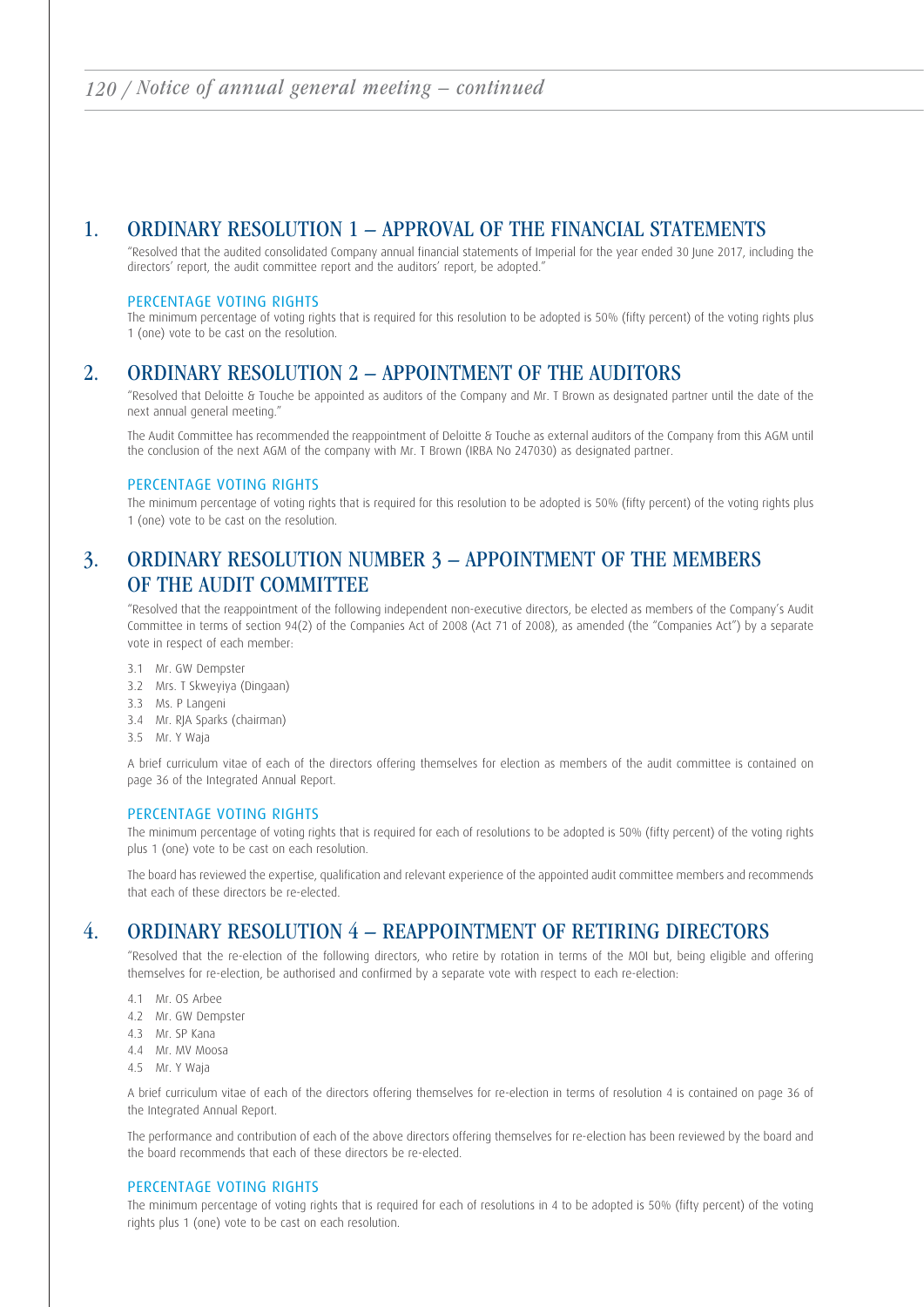## 1. ORDINARY RESOLUTION 1 – APPROVAL OF THE FINANCIAL STATEMENTS

 "Resolved that the audited consolidated Company annual financial statements of Imperial for the year ended 30 June 2017, including the directors' report, the audit committee report and the auditors' report, be adopted."

### PERCENTAGE VOTING RIGHTS

 The minimum percentage of voting rights that is required for this resolution to be adopted is 50% (fifty percent) of the voting rights plus 1 (one) vote to be cast on the resolution.

# 2. ORDINARY RESOLUTION 2 – APPOINTMENT OF THE AUDITORS

 "Resolved that Deloitte & Touche be appointed as auditors of the Company and Mr. T Brown as designated partner until the date of the next annual general meeting."

 The Audit Committee has recommended the reappointment of Deloitte & Touche as external auditors of the Company from this AGM until the conclusion of the next AGM of the company with Mr. T Brown (IRBA No 247030) as designated partner.

### PERCENTAGE VOTING RIGHTS

 The minimum percentage of voting rights that is required for this resolution to be adopted is 50% (fifty percent) of the voting rights plus 1 (one) vote to be cast on the resolution.

# 3. ORDINARY RESOLUTION NUMBER 3 – APPOINTMENT OF THE MEMBERS OF THE AUDIT COMMITTEE

 "Resolved that the reappointment of the following independent non-executive directors, be elected as members of the Company's Audit Committee in terms of section 94(2) of the Companies Act of 2008 (Act 71 of 2008), as amended (the "Companies Act") by a separate vote in respect of each member:

- 3.1 Mr. GW Dempster
- 3.2 Mrs. T Skweyiya (Dingaan)
- 3.3 Ms. P Langeni
- 3.4 Mr. RJA Sparks (chairman)
- 3.5 Mr. Y Waja

 A brief curriculum vitae of each of the directors offering themselves for election as members of the audit committee is contained on page 36 of the Integrated Annual Report.

## PERCENTAGE VOTING RIGHTS

 The minimum percentage of voting rights that is required for each of resolutions to be adopted is 50% (fifty percent) of the voting rights plus 1 (one) vote to be cast on each resolution.

 The board has reviewed the expertise, qualification and relevant experience of the appointed audit committee members and recommends that each of these directors be re-elected.

## 4. ORDINARY RESOLUTION 4 – REAPPOINTMENT OF RETIRING DIRECTORS

 "Resolved that the re-election of the following directors, who retire by rotation in terms of the MOI but, being eligible and offering themselves for re-election, be authorised and confirmed by a separate vote with respect to each re-election:

- 4.1 Mr. OS Arbee
- 4.2 Mr. GW Dempster
- 4.3 Mr. SP Kana
- 4.4 Mr. MV Moosa
- 4.5 Mr. Y Waja

 A brief curriculum vitae of each of the directors offering themselves for re-election in terms of resolution 4 is contained on page 36 of the Integrated Annual Report.

 The performance and contribution of each of the above directors offering themselves for re-election has been reviewed by the board and the board recommends that each of these directors be re-elected.

### PERCENTAGE VOTING RIGHTS

 The minimum percentage of voting rights that is required for each of resolutions in 4 to be adopted is 50% (fifty percent) of the voting rights plus 1 (one) vote to be cast on each resolution.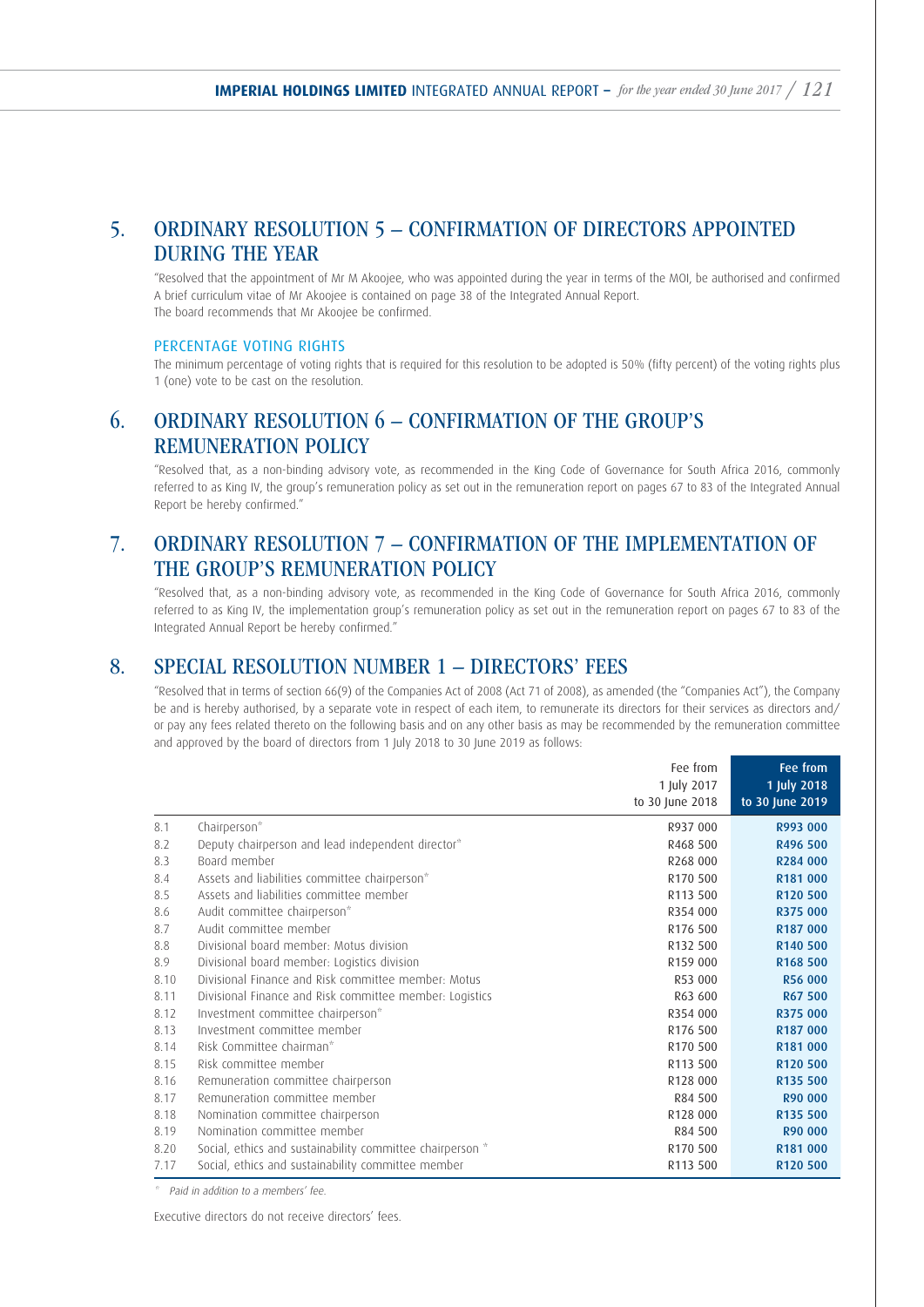## 5. ORDINARY RESOLUTION 5 – CONFIRMATION OF DIRECTORS APPOINTED DURING THE YEAR

 "Resolved that the appointment of Mr M Akoojee, who was appointed during the year in terms of the MOI, be authorised and confirmed A brief curriculum vitae of Mr Akoojee is contained on page 38 of the Integrated Annual Report. The board recommends that Mr Akoojee be confirmed.

## PERCENTAGE VOTING RIGHTS

 The minimum percentage of voting rights that is required for this resolution to be adopted is 50% (fifty percent) of the voting rights plus 1 (one) vote to be cast on the resolution.

# 6. ORDINARY RESOLUTION 6 – CONFIRMATION OF THE GROUP'S REMUNERATION POLICY

 "Resolved that, as a non-binding advisory vote, as recommended in the King Code of Governance for South Africa 2016, commonly referred to as King IV, the group's remuneration policy as set out in the remuneration report on pages 67 to 83 of the Integrated Annual Report be hereby confirmed."

# 7. ORDINARY RESOLUTION 7 – CONFIRMATION OF THE IMPLEMENTATION OF THE GROUP'S REMUNERATION POLICY

 "Resolved that, as a non-binding advisory vote, as recommended in the King Code of Governance for South Africa 2016, commonly referred to as King IV, the implementation group's remuneration policy as set out in the remuneration report on pages 67 to 83 of the Integrated Annual Report be hereby confirmed."

## 8. SPECIAL RESOLUTION NUMBER 1 – DIRECTORS' FEES

 "Resolved that in terms of section 66(9) of the Companies Act of 2008 (Act 71 of 2008), as amended (the "Companies Act"), the Company be and is hereby authorised, by a separate vote in respect of each item, to remunerate its directors for their services as directors and/ or pay any fees related thereto on the following basis and on any other basis as may be recommended by the remuneration committee and approved by the board of directors from 1 July 2018 to 30 June 2019 as follows:

|      |                                                           | Fee from                       | Fee from                       |
|------|-----------------------------------------------------------|--------------------------------|--------------------------------|
|      |                                                           | 1 July 2017<br>to 30 June 2018 | 1 July 2018<br>to 30 June 2019 |
| 8.1  | Chairperson*                                              | R937 000                       | R993 000                       |
| 8.2  | Deputy chairperson and lead independent director*         | R468 500                       | R496 500                       |
| 8.3  | Board member                                              | R268 000                       | R284 000                       |
| 8.4  | Assets and liabilities committee chairperson*             | R <sub>170</sub> 500           | R181 000                       |
| 8.5  | Assets and liabilities committee member                   | R113 500                       | R120 500                       |
| 8.6  | Audit committee chairperson*                              | R354 000                       | R375 000                       |
| 8.7  | Audit committee member                                    | R176 500                       | R187 000                       |
| 8.8  | Divisional board member: Motus division                   | R132 500                       | R140 500                       |
| 8.9  | Divisional board member: Logistics division               | R159 000                       | R168 500                       |
| 8.10 | Divisional Finance and Risk committee member: Motus       | R53 000                        | <b>R56 000</b>                 |
| 8.11 | Divisional Finance and Risk committee member: Logistics   | R63 600                        | R67 500                        |
| 8.12 | Investment committee chairperson*                         | R354 000                       | R375 000                       |
| 8.13 | Investment committee member                               | R176 500                       | R187 000                       |
| 8.14 | Risk Committee chairman*                                  | R170 500                       | R <sub>181</sub> 000           |
| 8.15 | Risk committee member                                     | R113 500                       | R120 500                       |
| 8.16 | Remuneration committee chairperson                        | R128 000                       | R135 500                       |
| 8.17 | Remuneration committee member                             | R84 500                        | R90 000                        |
| 8.18 | Nomination committee chairperson                          | R128 000                       | R135 500                       |
| 8.19 | Nomination committee member                               | R84 500                        | R90 000                        |
| 8.20 | Social, ethics and sustainability committee chairperson * | R170 500                       | R181 000                       |
| 7.17 | Social, ethics and sustainability committee member        | R113 500                       | R120 500                       |

\* Paid in addition to a members' fee.

Executive directors do not receive directors' fees.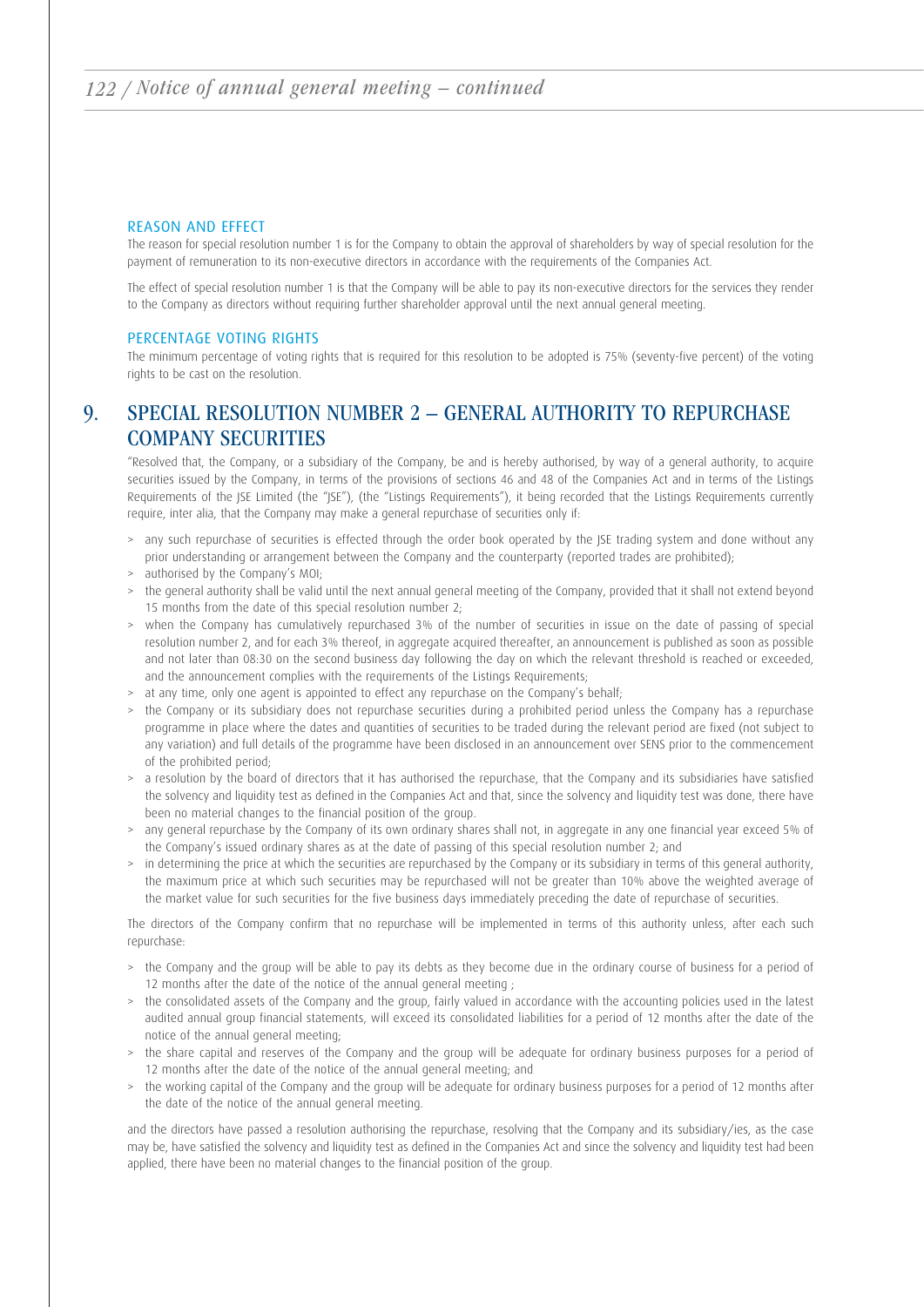### REASON AND EFFECT

 The reason for special resolution number 1 is for the Company to obtain the approval of shareholders by way of special resolution for the payment of remuneration to its non-executive directors in accordance with the requirements of the Companies Act.

 The effect of special resolution number 1 is that the Company will be able to pay its non-executive directors for the services they render to the Company as directors without requiring further shareholder approval until the next annual general meeting.

### PERCENTAGE VOTING RIGHTS

 The minimum percentage of voting rights that is required for this resolution to be adopted is 75% (seventy-five percent) of the voting rights to be cast on the resolution.

# 9. SPECIAL RESOLUTION NUMBER 2 – GENERAL AUTHORITY TO REPURCHASE COMPANY SECURITIES

 "Resolved that, the Company, or a subsidiary of the Company, be and is hereby authorised, by way of a general authority, to acquire securities issued by the Company, in terms of the provisions of sections 46 and 48 of the Companies Act and in terms of the Listings Requirements of the JSE Limited (the "JSE"), (the "Listings Requirements"), it being recorded that the Listings Requirements currently require, inter alia, that the Company may make a general repurchase of securities only if:

- > any such repurchase of securities is effected through the order book operated by the JSE trading system and done without any prior understanding or arrangement between the Company and the counterparty (reported trades are prohibited);
- > authorised by the Company's MOI;
- > the general authority shall be valid until the next annual general meeting of the Company, provided that it shall not extend beyond 15 months from the date of this special resolution number 2;
- > when the Company has cumulatively repurchased 3% of the number of securities in issue on the date of passing of special resolution number 2, and for each 3% thereof, in aggregate acquired thereafter, an announcement is published as soon as possible and not later than 08:30 on the second business day following the day on which the relevant threshold is reached or exceeded, and the announcement complies with the requirements of the Listings Requirements;
- > at any time, only one agent is appointed to effect any repurchase on the Company's behalf;
- > the Company or its subsidiary does not repurchase securities during a prohibited period unless the Company has a repurchase programme in place where the dates and quantities of securities to be traded during the relevant period are fixed (not subject to any variation) and full details of the programme have been disclosed in an announcement over SENS prior to the commencement of the prohibited period;
- > a resolution by the board of directors that it has authorised the repurchase, that the Company and its subsidiaries have satisfied the solvency and liquidity test as defined in the Companies Act and that, since the solvency and liquidity test was done, there have been no material changes to the financial position of the group.
- > any general repurchase by the Company of its own ordinary shares shall not, in aggregate in any one financial year exceed 5% of the Company's issued ordinary shares as at the date of passing of this special resolution number 2; and
- > in determining the price at which the securities are repurchased by the Company or its subsidiary in terms of this general authority, the maximum price at which such securities may be repurchased will not be greater than 10% above the weighted average of the market value for such securities for the five business days immediately preceding the date of repurchase of securities.

 The directors of the Company confirm that no repurchase will be implemented in terms of this authority unless, after each such repurchase:

- > the Company and the group will be able to pay its debts as they become due in the ordinary course of business for a period of 12 months after the date of the notice of the annual general meeting ;
- > the consolidated assets of the Company and the group, fairly valued in accordance with the accounting policies used in the latest audited annual group financial statements, will exceed its consolidated liabilities for a period of 12 months after the date of the notice of the annual general meeting;
- > the share capital and reserves of the Company and the group will be adequate for ordinary business purposes for a period of 12 months after the date of the notice of the annual general meeting; and
- > the working capital of the Company and the group will be adequate for ordinary business purposes for a period of 12 months after the date of the notice of the annual general meeting.

and the directors have passed a resolution authorising the repurchase, resolving that the Company and its subsidiary/ies, as the case may be, have satisfied the solvency and liquidity test as defined in the Companies Act and since the solvency and liquidity test had been applied, there have been no material changes to the financial position of the group.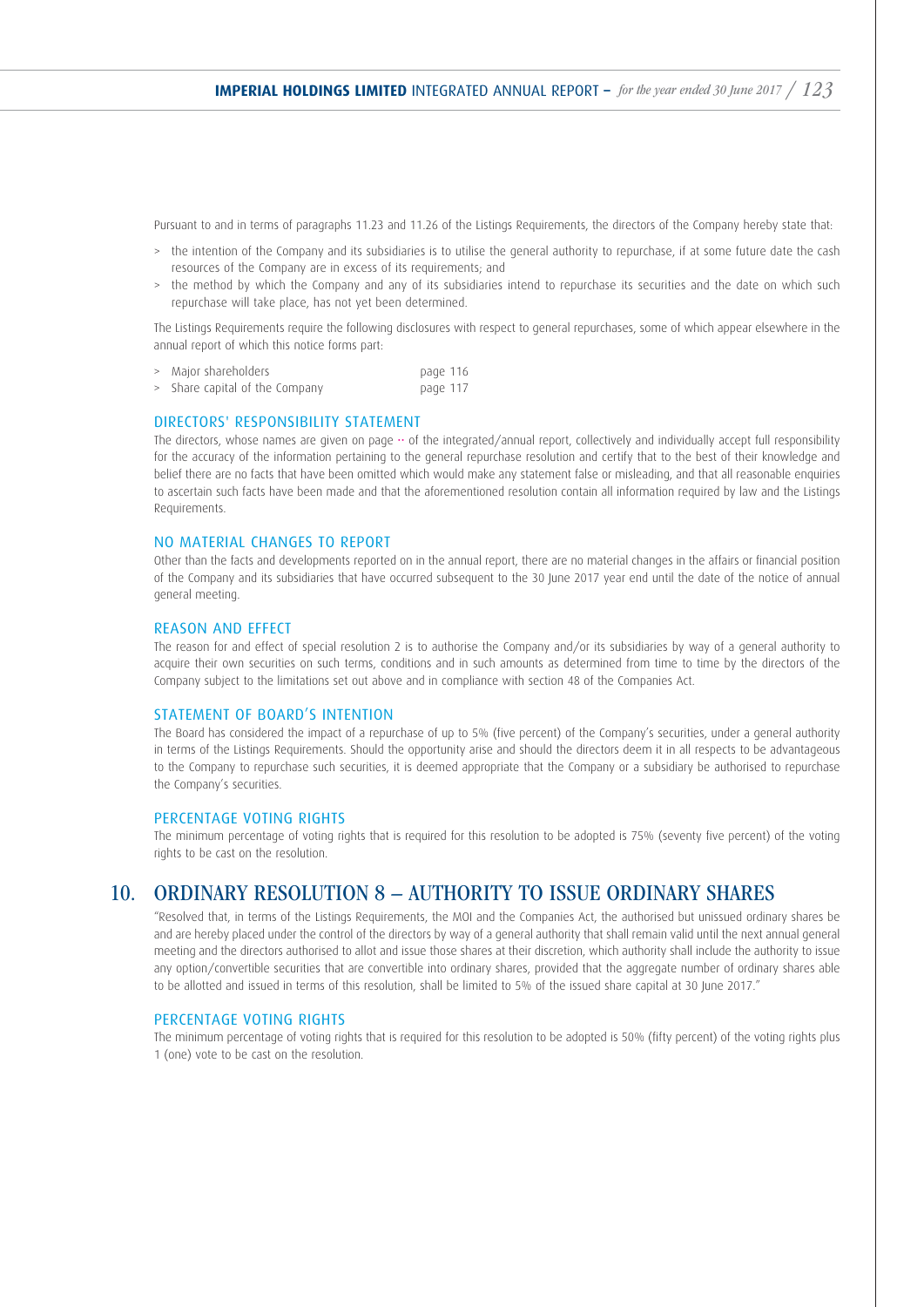Pursuant to and in terms of paragraphs 11.23 and 11.26 of the Listings Requirements, the directors of the Company hereby state that:

- > the intention of the Company and its subsidiaries is to utilise the general authority to repurchase, if at some future date the cash resources of the Company are in excess of its requirements; and
- > the method by which the Company and any of its subsidiaries intend to repurchase its securities and the date on which such repurchase will take place, has not yet been determined.

 The Listings Requirements require the following disclosures with respect to general repurchases, some of which appear elsewhere in the annual report of which this notice forms part:

| > | Major shareholders             | page 116 |  |
|---|--------------------------------|----------|--|
|   | > Share capital of the Company | page 117 |  |

#### DIRECTORS' RESPONSIBILITY STATEMENT

The directors, whose names are given on page  $\cdot\cdot$  of the integrated/annual report, collectively and individually accept full responsibility for the accuracy of the information pertaining to the general repurchase resolution and certify that to the best of their knowledge and belief there are no facts that have been omitted which would make any statement false or misleading, and that all reasonable enquiries to ascertain such facts have been made and that the aforementioned resolution contain all information required by law and the Listings Requirements.

#### NO MATERIAL CHANGES TO REPORT

 Other than the facts and developments reported on in the annual report, there are no material changes in the affairs or financial position of the Company and its subsidiaries that have occurred subsequent to the 30 June 2017 year end until the date of the notice of annual general meeting.

### REASON AND EFFECT

 The reason for and effect of special resolution 2 is to authorise the Company and/or its subsidiaries by way of a general authority to acquire their own securities on such terms, conditions and in such amounts as determined from time to time by the directors of the Company subject to the limitations set out above and in compliance with section 48 of the Companies Act.

#### STATEMENT OF BOARD'S INTENTION

 The Board has considered the impact of a repurchase of up to 5% (five percent) of the Company's securities, under a general authority in terms of the Listings Requirements. Should the opportunity arise and should the directors deem it in all respects to be advantageous to the Company to repurchase such securities, it is deemed appropriate that the Company or a subsidiary be authorised to repurchase the Company's securities.

#### PERCENTAGE VOTING RIGHTS

 The minimum percentage of voting rights that is required for this resolution to be adopted is 75% (seventy five percent) of the voting rights to be cast on the resolution.

## 10. ORDINARY RESOLUTION 8 – AUTHORITY TO ISSUE ORDINARY SHARES

 "Resolved that, in terms of the Listings Requirements, the MOI and the Companies Act, the authorised but unissued ordinary shares be and are hereby placed under the control of the directors by way of a general authority that shall remain valid until the next annual general meeting and the directors authorised to allot and issue those shares at their discretion, which authority shall include the authority to issue any option/convertible securities that are convertible into ordinary shares, provided that the aggregate number of ordinary shares able to be allotted and issued in terms of this resolution, shall be limited to 5% of the issued share capital at 30 June 2017."

#### PERCENTAGE VOTING RIGHTS

 The minimum percentage of voting rights that is required for this resolution to be adopted is 50% (fifty percent) of the voting rights plus 1 (one) vote to be cast on the resolution.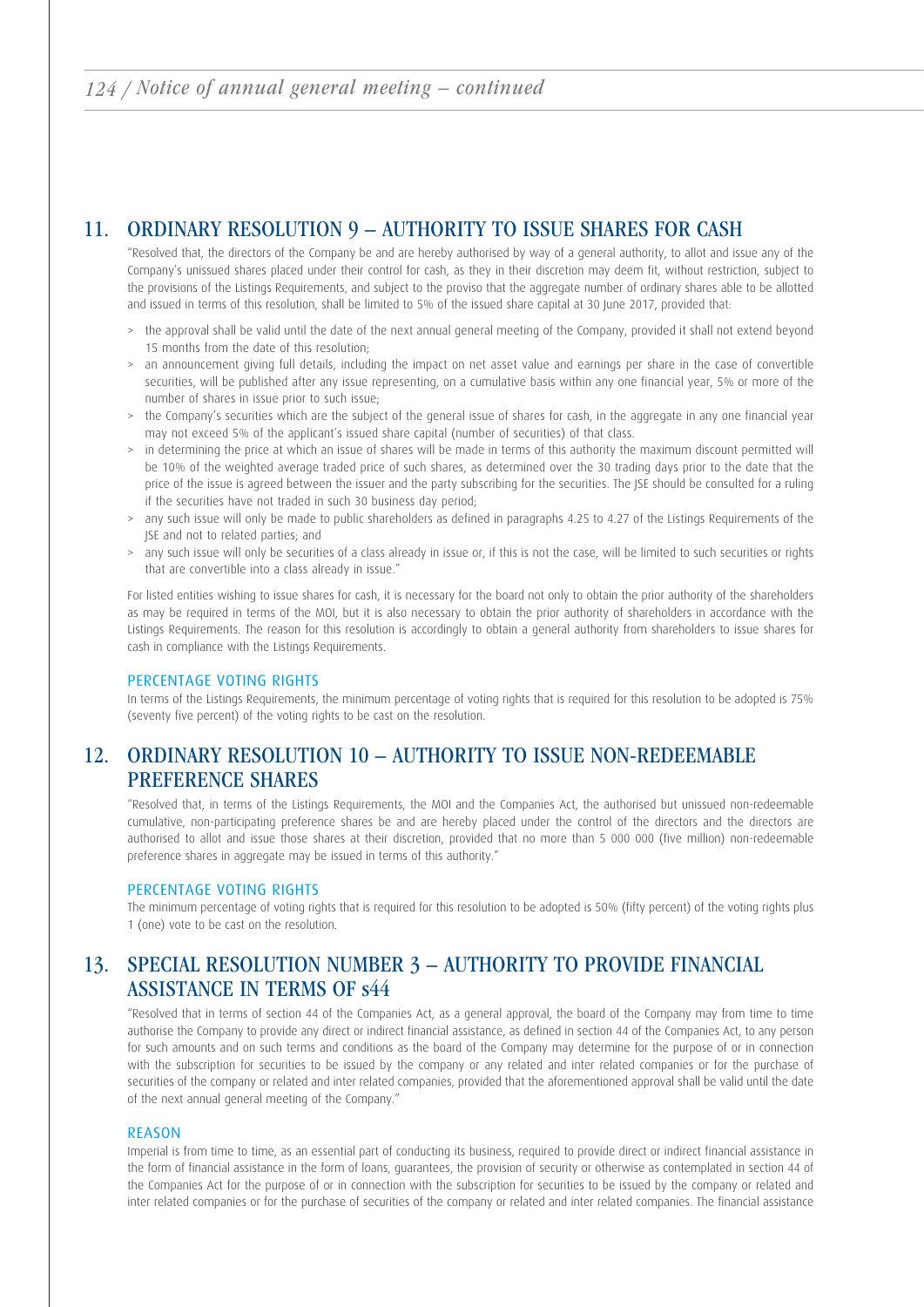## 11. ORDINARY RESOLUTION 9 – AUTHORITY TO ISSUE SHARES FOR CASH

 "Resolved that, the directors of the Company be and are hereby authorised by way of a general authority, to allot and issue any of the Company's unissued shares placed under their control for cash, as they in their discretion may deem fit, without restriction, subject to the provisions of the Listings Requirements, and subject to the proviso that the aggregate number of ordinary shares able to be allotted and issued in terms of this resolution, shall be limited to 5% of the issued share capital at 30 June 2017, provided that:

- > the approval shall be valid until the date of the next annual general meeting of the Company, provided it shall not extend beyond 15 months from the date of this resolution;
- an announcement giving full details, including the impact on net asset value and earnings per share in the case of convertible securities, will be published after any issue representing, on a cumulative basis within any one financial year, 5% or more of the number of shares in issue prior to such issue;
- > the Company's securities which are the subject of the general issue of shares for cash, in the aggregate in any one financial year may not exceed 5% of the applicant's issued share capital (number of securities) of that class.
- > in determining the price at which an issue of shares will be made in terms of this authority the maximum discount permitted will be 10% of the weighted average traded price of such shares, as determined over the 30 trading days prior to the date that the price of the issue is agreed between the issuer and the party subscribing for the securities. The JSE should be consulted for a ruling if the securities have not traded in such 30 business day period;
- > any such issue will only be made to public shareholders as defined in paragraphs 4.25 to 4.27 of the Listings Requirements of the JSE and not to related parties; and
- > any such issue will only be securities of a class already in issue or, if this is not the case, will be limited to such securities or rights that are convertible into a class already in issue."

 For listed entities wishing to issue shares for cash, it is necessary for the board not only to obtain the prior authority of the shareholders as may be required in terms of the MOI, but it is also necessary to obtain the prior authority of shareholders in accordance with the Listings Requirements. The reason for this resolution is accordingly to obtain a general authority from shareholders to issue shares for cash in compliance with the Listings Requirements.

### PERCENTAGE VOTING RIGHTS

In terms of the Listings Requirements, the minimum percentage of voting rights that is required for this resolution to be adopted is 75% (seventy five percent) of the voting rights to be cast on the resolution.

# 12. ORDINARY RESOLUTION 10 – AUTHORITY TO ISSUE NON-REDEEMABLE PREFERENCE SHARES

 "Resolved that, in terms of the Listings Requirements, the MOI and the Companies Act, the authorised but unissued non-redeemable cumulative, non-participating preference shares be and are hereby placed under the control of the directors and the directors are authorised to allot and issue those shares at their discretion, provided that no more than 5 000 000 (five million) non-redeemable preference shares in aggregate may be issued in terms of this authority."

### PERCENTAGE VOTING RIGHTS

 The minimum percentage of voting rights that is required for this resolution to be adopted is 50% (fifty percent) of the voting rights plus 1 (one) vote to be cast on the resolution.

# 13. SPECIAL RESOLUTION NUMBER 3 – AUTHORITY TO PROVIDE FINANCIAL ASSISTANCE IN TERMS OF s44

"Resolved that in terms of section 44 of the Companies Act, as a general approval, the board of the Company may from time to time authorise the Company to provide any direct or indirect financial assistance, as defined in section 44 of the Companies Act, to any person for such amounts and on such terms and conditions as the board of the Company may determine for the purpose of or in connection with the subscription for securities to be issued by the company or any related and inter related companies or for the purchase of securities of the company or related and inter related companies, provided that the aforementioned approval shall be valid until the date of the next annual general meeting of the Company."

### REASON

 Imperial is from time to time, as an essential part of conducting its business, required to provide direct or indirect financial assistance in the form of financial assistance in the form of loans, guarantees, the provision of security or otherwise as contemplated in section 44 of the Companies Act for the purpose of or in connection with the subscription for securities to be issued by the company or related and inter related companies or for the purchase of securities of the company or related and inter related companies. The financial assistance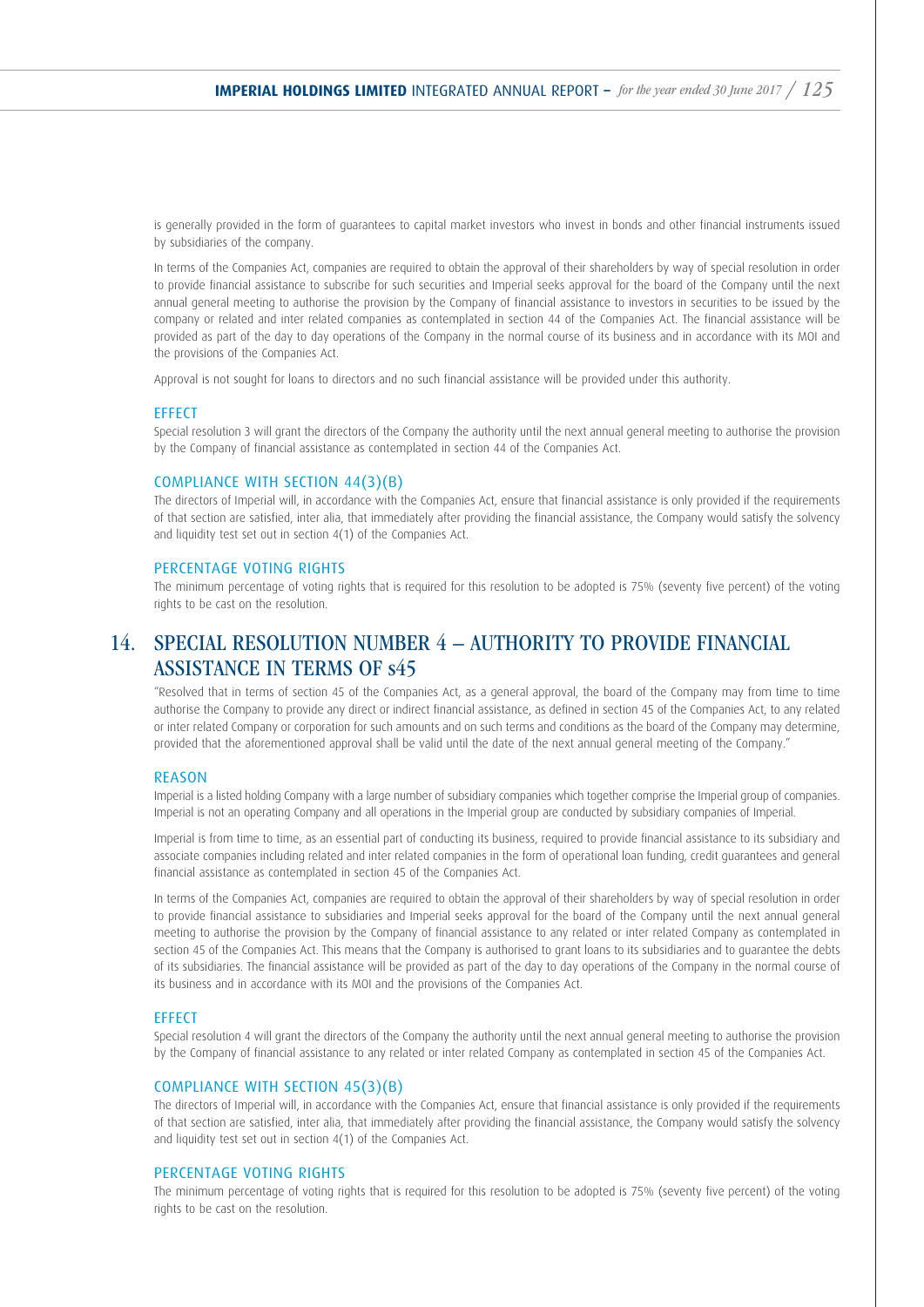is generally provided in the form of guarantees to capital market investors who invest in bonds and other financial instruments issued by subsidiaries of the company.

 In terms of the Companies Act, companies are required to obtain the approval of their shareholders by way of special resolution in order to provide financial assistance to subscribe for such securities and Imperial seeks approval for the board of the Company until the next annual general meeting to authorise the provision by the Company of financial assistance to investors in securities to be issued by the company or related and inter related companies as contemplated in section 44 of the Companies Act. The financial assistance will be provided as part of the day to day operations of the Company in the normal course of its business and in accordance with its MOI and the provisions of the Companies Act.

Approval is not sought for loans to directors and no such financial assistance will be provided under this authority.

#### **EFFECT**

 Special resolution 3 will grant the directors of the Company the authority until the next annual general meeting to authorise the provision by the Company of financial assistance as contemplated in section 44 of the Companies Act.

## COMPLIANCE WITH SECTION 44(3)(B)

 The directors of Imperial will, in accordance with the Companies Act, ensure that financial assistance is only provided if the requirements of that section are satisfied, inter alia, that immediately after providing the financial assistance, the Company would satisfy the solvency and liquidity test set out in section 4(1) of the Companies Act.

#### PERCENTAGE VOTING RIGHTS

 The minimum percentage of voting rights that is required for this resolution to be adopted is 75% (seventy five percent) of the voting rights to be cast on the resolution.

# 14. SPECIAL RESOLUTION NUMBER 4 – AUTHORITY TO PROVIDE FINANCIAL ASSISTANCE IN TERMS OF s45

"Resolved that in terms of section 45 of the Companies Act, as a general approval, the board of the Company may from time to time authorise the Company to provide any direct or indirect financial assistance, as defined in section 45 of the Companies Act, to any related or inter related Company or corporation for such amounts and on such terms and conditions as the board of the Company may determine, provided that the aforementioned approval shall be valid until the date of the next annual general meeting of the Company."

#### REASON

 Imperial is a listed holding Company with a large number of subsidiary companies which together comprise the Imperial group of companies. Imperial is not an operating Company and all operations in the Imperial group are conducted by subsidiary companies of Imperial.

 Imperial is from time to time, as an essential part of conducting its business, required to provide financial assistance to its subsidiary and associate companies including related and inter related companies in the form of operational loan funding, credit guarantees and general financial assistance as contemplated in section 45 of the Companies Act.

 In terms of the Companies Act, companies are required to obtain the approval of their shareholders by way of special resolution in order to provide financial assistance to subsidiaries and Imperial seeks approval for the board of the Company until the next annual general meeting to authorise the provision by the Company of financial assistance to any related or inter related Company as contemplated in section 45 of the Companies Act. This means that the Company is authorised to grant loans to its subsidiaries and to guarantee the debts of its subsidiaries. The financial assistance will be provided as part of the day to day operations of the Company in the normal course of its business and in accordance with its MOI and the provisions of the Companies Act.

#### **FFFFCT**

 Special resolution 4 will grant the directors of the Company the authority until the next annual general meeting to authorise the provision by the Company of financial assistance to any related or inter related Company as contemplated in section 45 of the Companies Act.

#### COMPLIANCE WITH SECTION 45(3)(B)

 The directors of Imperial will, in accordance with the Companies Act, ensure that financial assistance is only provided if the requirements of that section are satisfied, inter alia, that immediately after providing the financial assistance, the Company would satisfy the solvency and liquidity test set out in section 4(1) of the Companies Act.

#### PERCENTAGE VOTING RIGHTS

 The minimum percentage of voting rights that is required for this resolution to be adopted is 75% (seventy five percent) of the voting rights to be cast on the resolution.